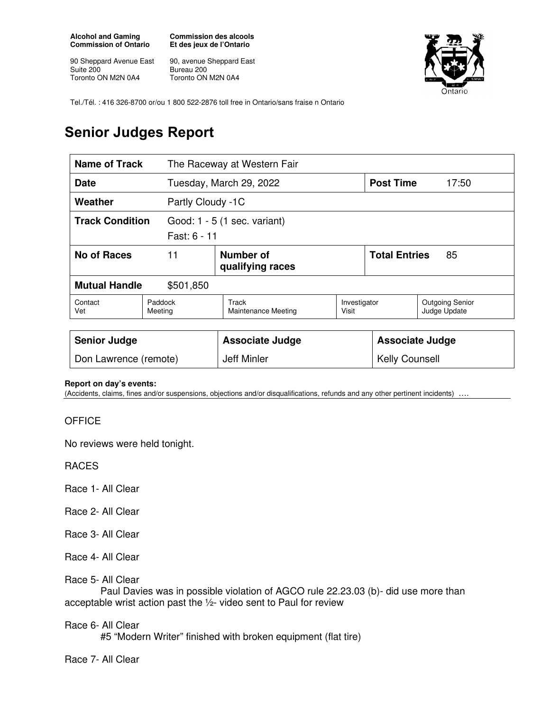**Alcohol and Gaming Commission of Ontario** 

90 Sheppard Avenue East Suite 200 Toronto ON M2N 0A4

**Commission des alcools Et des jeux de l'Ontario** 

90, avenue Sheppard East Bureau 200 Toronto ON M2N 0A4



Tel./Tél. : 416 326-8700 or/ou 1 800 522-2876 toll free in Ontario/sans fraise n Ontario

## **Senior Judges Report**

| Name of Track                                                          |                    | The Raceway at Western Fair           |                       |                                                 |                                        |
|------------------------------------------------------------------------|--------------------|---------------------------------------|-----------------------|-------------------------------------------------|----------------------------------------|
| <b>Date</b>                                                            |                    | Tuesday, March 29, 2022               |                       | <b>Post Time</b>                                | 17:50                                  |
| Weather<br>Partly Cloudy -1C                                           |                    |                                       |                       |                                                 |                                        |
| <b>Track Condition</b><br>Good: 1 - 5 (1 sec. variant)<br>Fast: 6 - 11 |                    |                                       |                       |                                                 |                                        |
| <b>No of Races</b><br>11                                               |                    | <b>Number of</b><br>qualifying races  |                       | <b>Total Entries</b><br>85                      |                                        |
| <b>Mutual Handle</b><br>\$501,850                                      |                    |                                       |                       |                                                 |                                        |
| Contact<br>Vet                                                         | Paddock<br>Meeting | Track<br><b>Maintenance Meeting</b>   | Investigator<br>Visit |                                                 | <b>Outgoing Senior</b><br>Judge Update |
| <b>Senior Judge</b><br>Don Lawrence (remote)                           |                    | <b>Associate Judge</b><br>Jeff Minler |                       | <b>Associate Judge</b><br><b>Kelly Counsell</b> |                                        |

## **Report on day's events:**

(Accidents, claims, fines and/or suspensions, objections and/or disqualifications, refunds and any other pertinent incidents) ….

## **OFFICE**

No reviews were held tonight.

RACES

Race 1- All Clear

Race 2- All Clear

Race 3- All Clear

Race 4- All Clear

Race 5- All Clear

 Paul Davies was in possible violation of AGCO rule 22.23.03 (b)- did use more than acceptable wrist action past the ½- video sent to Paul for review

## Race 6- All Clear

#5 "Modern Writer" finished with broken equipment (flat tire)

Race 7- All Clear